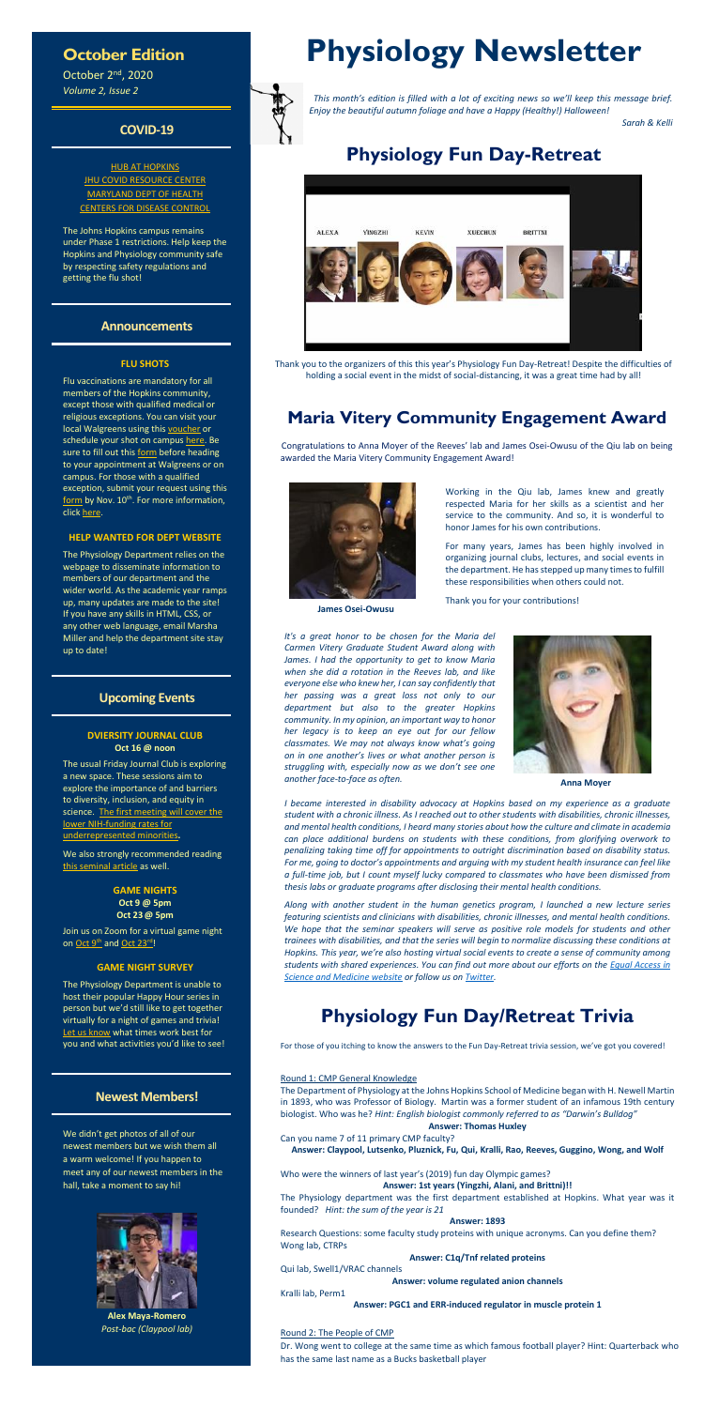## **October Edition**

October 2nd, 2020 *Volume 2, Issue 2*

### **COVID-19**

[HUB AT HOPKINS](https://hub.jhu.edu/novel-coronavirus-information/) [JHU COVID RESOURCE CENTER](https://coronavirus.jhu.edu/) [MARYLAND DEPT OF HEALTH](https://coronavirus.maryland.gov/) [CENTERS FOR DISEASE CONTROL](https://www.cdc.gov/coronavirus/2019-ncov/index.html)

The Johns Hopkins campus remains under Phase 1 restrictions. Help keep the Hopkins and Physiology community safe by respecting safety regulations and getting the flu shot!

### **Announcements**

#### **FLU SHOTS**

Flu vaccinations are mandatory for all members of the Hopkins community, except those with qualified medical or religious exceptions. You can visit your local Walgreens using this [voucher](https://ivv.tic.jh.edu/) or schedule your shot on campus [here.](https://outlook.office365.com/owa/calendar/JHFluVaccinationCampaign2020@live.johnshopkins.edu/bookings/) Be sure to fill out thi[s form](https://www.hopkinsmedicine.org/hse/forms/fluform/Walgreens_Community_VAR_ENG.pdf) before heading to your appointment at Walgreens or on campus. For those with a qualified exception, submit your request using this [form](https://www.hopkinsmedicine.org/hse/forms/fluform/exceptions.html) by Nov. 10<sup>th</sup>. For more information, clic[k here.](https://www.hopkinsmedicine.org/hse/occupational_health/flu_campaign.html)

Join us on Zoom for a virtual game night on [Oct 9](https://jhjhm.zoom.us/j/95680457334?pwd=cnk2dTFPeWxjNjVpK1IydTdYeEZhUT09)<sup>th</sup> an[d Oct 23](https://jhjhm.zoom.us/j/95260222440?pwd=aUQySng5NVA0N0lPZFRYaFpXRXdvQT09)<sup>rd</sup>!

#### **HELP WANTED FOR DEPT WEBSITE**

The Physiology Department relies on the webpage to disseminate information to members of our department and the wider world. As the academic year ramps up, many updates are made to the site! If you have any skills in HTML, CSS, or any other web language, email Marsha Miller and help the department site stay up to date!

### **Upcoming Events**

#### **DVIERSITY JOURNAL CLUB Oct 16 @ noon**

The usual Friday Journal Club is exploring a new space. These sessions aim to explore the importance of and barriers to diversity, inclusion, and equity in science. The first meeting will cover the [lower NIH-funding rates for](https://pmlegacy.ncbi.nlm.nih.gov/pmc/articles/PMC6235266/)  [underrepresented minorities](https://pmlegacy.ncbi.nlm.nih.gov/pmc/articles/PMC6235266/)**.** 

> **GAME NIGHTS Oct 9 @ 5pm Oct 23@ 5pm**

#### **GAME NIGHT SURVEY**

The Physiology Department is unable to host their popular Happy Hour series in person but we'd still like to get together virtually for a night of games and trivia! [Let us know](https://forms.office.com/Pages/ResponsePage.aspx?id=OPSkn-axO0eAP4b4rt8N7Lvtb5rqdK1GtJp5wHrjrUdUMThZWDFTSVczTFRGNkpSSDhZVVBNM1BRQS4u) what times work best for you and what activities you'd like to see!

### **Newest Members!**

We didn't get photos of all of our newest members but we wish them all a warm welcome! If you happen to meet any of our newest members in the hall, take a moment to say hi!



**Alex Maya-Romero** *Post-bac (Claypool lab)*

# **Physiology Newsletter**



 *This month's edition is filled with a lot of exciting news so we'll keep this message brief. Enjoy the beautiful autumn foliage and have a Happy (Healthy!) Halloween!*

*Sarah & Kelli*

# **Physiology Fun Day-Retreat**



Thank you to the organizers of this this year's Physiology Fun Day-Retreat! Despite the difficulties of holding a social event in the midst of social-distancing, it was a great time had by all!

# **Maria Vitery Community Engagement Award**

Congratulations to Anna Moyer of the Reeves' lab and James Osei-Owusu of the Qiu lab on being awarded the Maria Vitery Community Engagement Award!



**James Osei-Owusu**

Working in the Qiu lab, James knew and greatly respected Maria for her skills as a scientist and her service to the community. And so, it is wonderful to honor James for his own contributions.

For many years, James has been highly involved in organizing journal clubs, lectures, and social events in the department. He has stepped up many times to fulfill these responsibilities when others could not.

Thank you for your contributions!

*It's a great honor to be chosen for the Maria del Carmen Vitery Graduate Student Award along with James. I had the opportunity to get to know Maria when she did a rotation in the Reeves lab, and like everyone else who knew her, I can say confidently that her passing was a great loss not only to our department but also to the greater Hopkins community. In my opinion, an important way to honor her legacy is to keep an eye out for our fellow classmates. We may not always know what's going on in one another's lives or what another person is struggling with, especially now as we don't see one another face-to-face as often.* **Anna Moyer**



We also strongly recommended reading [this seminal article](https://pmlegacy.ncbi.nlm.nih.gov/pmc/articles/PMC3412416/) as well.

*I became interested in disability advocacy at Hopkins based on my experience as a graduate student with a chronic illness. As I reached out to other students with disabilities, chronic illnesses, and mental health conditions, I heard many stories about how the culture and climate in academia can place additional burdens on students with these conditions, from glorifying overwork to penalizing taking time off for appointments to outright discrimination based on disability status. For me, going to doctor's appointments and arguing with my student health insurance can feel like a full-time job, but I count myself lucky compared to classmates who have been dismissed from thesis labs or graduate programs after disclosing their mental health conditions.*

*Along with another student in the human genetics program, I launched a new lecture series featuring scientists and clinicians with disabilities, chronic illnesses, and mental health conditions. We hope that the seminar speakers will serve as positive role models for students and other trainees with disabilities, and that the series will begin to normalize discussing these conditions at Hopkins. This year, we're also hosting virtual social events to create a sense of community among students with shared experiences. You can find out more about our efforts on the [Equal Access in](https://equalaccesshopkins.com/)  [Science and Medicine website](https://equalaccesshopkins.com/) or follow us on [Twitter.](https://twitter.com/EASM_JHU)*

# **Physiology Fun Day/Retreat Trivia**

For those of you itching to know the answers to the Fun Day-Retreat trivia session, we've got you covered!

#### Round 1: CMP General Knowledge

The Department of Physiology at the Johns Hopkins School of Medicine began with H. Newell Martin in 1893, who was Professor of Biology. Martin was a former student of an infamous 19th century biologist. Who was he? *Hint: English biologist commonly referred to as "Darwin's Bulldog"*

#### **Answer: Thomas Huxley**

Can you name 7 of 11 primary CMP faculty?

**Answer: Claypool, Lutsenko, Pluznick, Fu, Qui, Kralli, Rao, Reeves, Guggino, Wong, and Wolf**

Who were the winners of last year's (2019) fun day Olympic games?

**Answer: 1st years (Yingzhi, Alani, and Brittni)!!**

The Physiology department was the first department established at Hopkins. What year was it founded? *Hint: the sum of the year is 21*

#### **Answer: 1893**

Research Questions: some faculty study proteins with unique acronyms. Can you define them? Wong lab, CTRPs

#### **Answer: C1q/Tnf related proteins**

Qui lab, Swell1/VRAC channels

**Answer: volume regulated anion channels**

Kralli lab, Perm1

**Answer: PGC1 and ERR-induced regulator in muscle protein 1**

#### Round 2: The People of CMP

Dr. Wong went to college at the same time as which famous football player? Hint: Quarterback who has the same last name as a Bucks basketball player